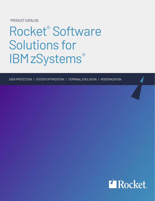PRODUCT CATALOG

# Rocket<sup>®</sup> Software Solutions for **IBMzSystems®**

DATA PROTECTION | SYSTEM OPTIMIZATION | TERMINAL EMULATION | MODERNIZATION

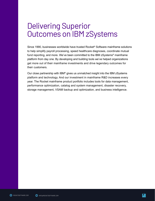# Delivering Superior Outcomes on IBM zSystems

Since 1990, businesses worldwide have trusted Rocket® Software mainframe solutions to help simplify payroll processing, speed healthcare diagnoses, coordinate mutual fund reporting, and more. We've been committed to the IBM zSystems® mainframe platform from day one. By developing and building tools we've helped organizations get more out of their mainframe investments and drive legendary outcomes for their customers.

Our close partnership with IBM® gives us unmatched insight into the IBM zSystems platform and technology. And our investment in mainframe R&D increases every year. The Rocket mainframe product portfolio includes tools for data management, performance optimization, catalog and system management, disaster recovery, storage management, VSAM backup and optimization, and business intelligence.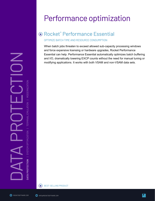# Performance optimization

# Rocket® Performance Essential

OPTIMIZE BATCH TIME AND RESOURCE CONSUMPTION

When batch jobs threaten to exceed allowed sub-capacity processing windows and force expensive licensing or hardware upgrades, Rocket Performance Essential can help. Performance Essential automatically optimizes batch buffering and I/O, dramatically lowering EXCP counts without the need for manual tuning or modifying applications. It works with both VSAM and non-VSAM data sets.





 $\bigcirc$ 

BEST-SELLING PRODUCT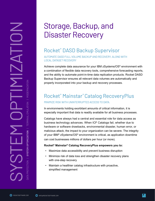# Storage, Backup, and Disaster Recovery

# Rocket® DASD Backup Supervisor

AUTOMATE DASD FULL VOLUME BACKUP AND RECOVERY, ALONG WITH LOCAL DATASET RECOVERY

Achieve complete data assurance for your IBM zSystems/OS® environment with a combination of flexible data recovery tools, comprehensive forecasting reports, and the ability to automate point-in-time data replication products. Rocket DASD Backup Supervisor ensures all relevant data volumes are automatically and properly incorporated into your backup and recovery processes.

## Rocket® Mainstar® Catalog RecoveryPlus MINIMIZE RISK WITH UNINTERRUPTED ACCESS TO DATA.

In environments holding exorbitant amounts of critical information, it is especially important that data is readily available for all business processes.

Catalogs have always had a central and essential role for data access as business technology advances. When ICF Catalogs fail, whether due to hardware or software drawbacks, environmental disaster, human error, or malicious attack, the impact to your organization can be severe. The integrity of your IBM® zSystems/OS® environment is critical, as application downtime can cost businesses millions of dollars per hour (or more).

#### **Rocket® Mainstar® Catalog RecoveryPlus empowers you to:**

- Maximize data accessibility and prevent business disruption
- Minimize risk of data loss and strengthen disaster recovery plans with one-step recovery
- Maintain a healthier catalog infrastructure with proactive, simplified management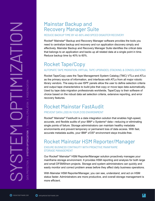## Mainstar Backup and Recovery Manager Suite

#### REDUCE BACKUP TIME BY 40-60% AND SPEED DISASTER RECOVERY

Rocket<sup>®</sup> Mainstar<sup>®</sup> Backup and Recovery Manager software provides the tools you need to centralize backup and recovery and run application discovery simply and effectively. Mainstar Backup and Recovery Manager Suite identifies the critical data that belongs to an application and backs up all related data at a single point in time. Reduce backup time by 40% to 60%.

# Rocket Tape/Copy

#### AUTOMATE TAPE MIGRATION, VIRTUAL TAPE UPGRADES, STACKING, & CONSOLIDATIONS

Rocket Tape/Copy uses the Tape Management System Catalog (TMC) VTLs and ATLs as the primary source of information, and interfaces with ATLs from all major robotic library vendors. The easy-to-use ISPF panels allow the user to define selection criteria and output tape characteristics to build jobs that copy or move tape data automatically. Used by tape data migration professionals worldwide, Tape/Copy is their software of choice based on the robust data set selection criteria, extensive reporting, and error recovery features.

## Rocket Mainstar FastAudit

#### PREVENT DATA LOSS IN YOUR Z/OS ENVIRONMENT

Rocket® Mainstar® FastAudit is a data integration solution that enables high-speed, accurate, and flexible audits of your IBM® z Systems® data—reducing or eliminating single points of failure. Storage administrators can maintain healthy metadata environments and prevent temporary or permanent loss of data access. With fast, accurate metadata audits, your IBM® z/OS® environment stays trouble-free.

# Rocket Mainstar HSM Reporter/Manager

#### ENSURE BUSINESS CONTINUITY WITH PROACTIVE MAINFRAME STORAGE MANAGEMENT

Our Rocket® Mainstar® HSM Reporter/Manager solution proactively manages your mainframe storage environment. It provides HSM reporting and analysis for both large and small DFSMShsm projects. Storage and system administrators can quickly and easily monitor and correct problem areas before they affect daily business operations.

With Mainstar HSM Reporter/Manager, you can see, understand, and act on HSM status faster. Administrators are more productive, and overall storage management is more efficient.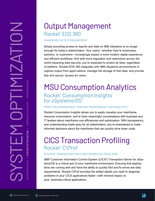# Output Management Rocket® EOS 360

#### MAINFRAME OUTPUT MANAGEMENT

Simply providing access to reports and data on IBM zSystems is no longer enough for today's stakeholders. Your users—whether they're employees, partners, or customers—increasingly expect a more modern digital experience and efficient workflows. And with more regulation and restrictions across the world impacting data security, you're expected to protect all data, regardless of platform. Rocket EOS 360 integrates with IBM zSystems environments to capture output from appli-cations, manage the storage of that data, and provide fast and secure access for users.

# MSU Consumption Analytics Rocket® Consumption Insights for zSystems/0S®

#### SMART MSU MANAGEMENT THROUGH TRANSPARENCY AND ANALYTICS

Rocket Consumption Insights allows you to easily visualize your mainframe resource consumption, and to have meaningful conversations with business and IT leaders about mainframe cost efficiencies and optimization. With transparency and understanding made easy for all stakeholders, you're empowered to make informed decisions about the mainframe that can quickly drive down costs.

# CICS Transaction Profiling Rocket<sup>®</sup> C\Prof

#### INTUITIVE TRANSACTION PROFILING FOR IBM CICS TRACE DATA

IBM® Customer Information Control System (CICS®) Transaction Server for zSystems/OS is a critical part of your mainframe environment. Ensuring that applications are running well and have the ability to quickly find and fix errors are daily requirements. Rocket C\Prof provides the added details you need to diagnose problems in your CICS applications faster—with minimal impact on your business-critical applications.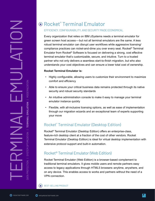# Rocket® Terminal Emulator

#### EFFICIENCY, CONFIGURABILITY, AND SECURITY MADE ECONOMICAL

Every organization that relies on IBM zSystems needs a terminal emulator for green screen host access—but not all terminal emulators are the same. A less robust terminal emulator can disrupt user workflows while aggressive licensing/ compliance practices can nickel-and-dime you over every seat. Rocket® Terminal Emulator from Rocket® Software is focused on delivering a strong, cost effective terminal emulator that's customizable, secure, and intuitive. Turn to a trusted partner who not only delivers a seamless start-to-finish migration, but who also understands your cost objectives and can ensure a lower total cost of ownership.

#### **Rocket Terminal Emulator is:**

- Highly configurable, allowing users to customize their environment to maximize comfort and efficiency
- Able to ensure your critical business data remains protected through its native security and robust security standards
- An intuitive administration console to make it easy to manage your terminal emulator instance quickly
- Flexible, with all-inclusive licensing options, as well as ease of implementation through our migration wizards and an exceptional team of experts supporting your move

## Rocket® Terminal Emulator (Desktop Edition)

Rocket® Terminal Emulator (Desktop Edition) offers an enterprise-class, feature-rich desktop client at a fraction of the cost of other vendors. Rocket Terminal Emulator (Desktop Edition) is ideal for virtual desktop implementation with extensive protocol support and built-in automation.

### Rocket® Terminal Emulator (Web Edition)

Rocket Terminal Emulator (Web Edition) is a browser-based complement to traditional terminal emulators. It gives mobile users and remote partners easy access to legacy applications through HTML5 browsers–anytime, anywhere, and on any device. This enables access to works and partners without the need of a VPN connection.

SEST-SELLING PRODUCT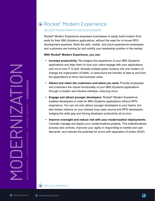# Rocket® Modern Experience

#### DELIVER TRANSFORMATIVE USER EXPERIENCES

Rocket® Modern Experience empowers businesses to easily build modern front ends for their IBM zSystems applications, without the need for in-house RPG development expertise. Build the web, mobile, and cloud experiences employees and customers are looking for and solidify your leadership position in the market.

#### **With Rocket® Modern Experience, you can:**

- **• Increase productivity:** Re-imagine the experience of your IBM zSystems applications and align them to how your users engage with your applications and not to how IT is built. Simplify multiple green screens into one modern UI, change the organization of fields, or restructure the transfer of data to and from the applications to drive real business value
- **• Attract and retain the customers and talent you want:** Provide employees and customers the robust functionality of your IBM zSystems applications through a modern and intuitive interface, reducing churn
- **• Engage and attract younger developers:** Rocket® Modern Experience enables developers to code for IBM zSystems applications without RPG experience. You can not only attract younger developers to your teams, but also lessen reliance on your already busy open source and RPG developers, bridging the skills gap and driving developer productivity all at once
- **• Improve oversight and reduce risk with your modernization deployments:** Centrally manage and deploy your modernizations projects. This institutionalizes process and controls, improves your agility in responding to market and user demands, and reduces the potential for errors with separation of duties (SOD)

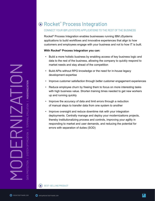# Rocket® Process Integration

#### CONNECT YOUR IBM zSYSTEMS APPLICATIONS TO THE REST OF THE BUSINESS

Rocket® Process Integration enables businesses running IBM zSystems applications to build workflows and innovative experiences that align to how customers and employees engage with your business and not to how IT is built.

#### **With Rocket® Process Integration you can:**

- Build a more holistic business by enabling access of key business logic and data to the rest of the business, allowing the company to quickly respond to market needs and stay ahead of the competition
- Build APIs without RPG knowledge or the need for in-house legacy development expertise
- Improve customer satisfaction through better customer engagement experiences
- Reduce employee churn by freeing them to focus on more interesting tasks with high business value. Shorten training times needed to get new workers up and running quickly
- Improve the accuracy of data and limit errors through a reduction of manual steps to transfer data from one system to another
- Improve oversight and reduce downtime risk with your integration deployments. Centrally manage and deploy your modernizations projects, thereby institutionalizing process and controls, improving your agility in responding to market and user demands, and reducing the potential for errors with separation of duties (SOD)

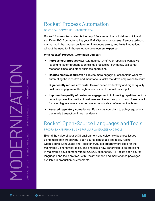# Rocket® Process Automation

#### DRIVE REAL ROI WITH IBM zSYSTEMS RPA

Rocket® Process Automation is the only RPA solution that will deliver quick and significant ROI from automating your IBM zSystems processes. Remove tedious, manual work that causes bottlenecks, introduces errors, and limits innovation, without the need for in-house legacy development expertise.

#### **With Rocket® Process Automation you can:**

- **• Improve your productivity:** Automate 90%+ of your repetitive workflows leading to faster throughput on claims processing, payments, call center response times, and other business operations
- **• Reduce employee turnover:** Provide more engaging, less tedious work by automating the repetitive and monotonous tasks that drive employees to churn
- **• Significantly reduce error rate:** Deliver better productivity and higher quality customer engagement through minimization of manual user input
- **• Improve the quality of customer engagement:** Automating repetitive, tedious tasks improves the quality of customer service and support. It also frees reps to focus on higher-value customer interactions instead of mechanical tasks
- **• Assured regulatory compliance:** Easily stay compliant to policy/regulations that made transaction times mandatory

## Rocket® Open-Source Languages and Tools PROGRAM A MAINFRAME USING POPULAR LANGUAGES AND TOOLS

Extend the value of your z/OS environment and solve new business issues using more than 30 powerful open-source languages and tools. Rocket Open-Source Languages and Tools for z/OS lets programmers code for the mainframe using familiar tools, and enables a new generation to be proficient in mainframe development without COBOL experience. All Rocket open-source languages and tools are free, with Rocket support and maintenance packages available in production environments.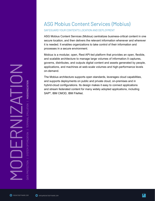# ASG Mobius Content Services (Mobius)

#### SAFEGUARD YOUR CONTENT'S LOCATION AND DEPLOYMENT

ASG Mobius Content Services (Mobius) centralizes business-critical content in one secure location, and then delivers the relevant information whenever and wherever it is needed. It enables organizations to take control of their information and processes in a secure environment.

Mobius is a modular, open, Rest API-led platform that provides an open, flexible, and scalable architecture to manage large volumes of information.It captures, governs, distributes, and outputs digital content and assets generated by people, applications, and machines at web-scale volumes and high-performance levels on-demand.

The Mobius architecture supports open standards, leverages cloud capabilities, and supports deployments on public and private cloud, on-premises and in hybrid-cloud configurations. Its design makes it easy to connect applications and stream federated content for many widely adopted applications, including SAP®, IBM CMOD, IBM FileNet.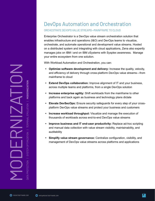# DevOps Automation and Orchestration

#### ORCHESTRATE DEVOPS VALUE STREAMS--MAINFRAME TO CLOUD

Enterprise Orchestrator is a DevOps value stream orchestration solution that enables infrastructure and operations (I&O) and DevOps teams to visualize, orchestrate, and automate operational and development value streams. Hosted on a distributed system and integrating with cloud applications, Zena also expertly manages jobs on IBM i and on IBM zSystems with Sysplex awareness. Manage your entire ecosystem from one solution.

With Workload Automation and Orchestration, you can:

- **• Optimize software development and delivery:** Increase the quality, velocity, and efficiency of delivery through cross-platform DevOps value streams—from mainframe to cloud
- **• Extend DevOps collaboration:** Improve alignment of IT and your business, across multiple teams and platforms, from a single DevOps solution
- **• Increase enterprise agility:** Shift workloads from the mainframe to other platforms and back again as business and technology plans dictate
- **• Elevate DevSecOps:** Ensure security safeguards for every step of your crossplatform DevOps value streams and protect your business and customers
- **• Increase workload throughput:** Visualize and manage the execution of thousands of workloads across end-to-end DevOps value streams
- **• Improve business and IT end-user productivity:** Replace ad-hoc scripting and manual data collection with value stream visibility, maintainability, and auditability
- **• Simplify value stream governance:** Centralize configuration, visibility, and management of DevOps value streams across platforms and applications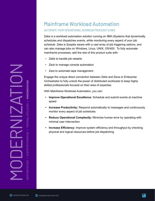# **[ROCKETSOFTWARE.COM](http://rocketsoftware.com)**<br>**ROCKETSOFTWARE.COM**<br>**BROCKETSOFTWARE.COM**<br>**BROCKETSOFTWARE.COM**<br>**BROCKETSOFTWARE.COM**<br>**DROCKETSOFTWARE.COM**<br>**DROCKETSOFTWARE.COM**<br>**DROCKETSOFTWARE.COM**

# Mainframe Workload Automation

#### AUTOMATE YOUR OPERATIONAL BUSINESS PROCESS FLOWS

Zeke is a workload automation solution running on IBM zSystems that dynamically schedules and dispatches events, while monitoring every aspect of your job schedule. Zeke is Sysplex aware with a vast array of job triggering options, and can also manage jobs on Windows, Linux, UNIX, OS/400. To fully automate mainframe processes, add the rest of this product suite with:

- Zebb to handle job restarts
- Zack to manage console automation
- Zara to automate tape management

Engage the unique direct connection between Zeke and Zena or Enterprise Orchestrator to fully unlock the power of distributed workloads to keep highly skilled professionals focused on their area of expertise.

With Mainframe Workload Automation, you can:

- **• Improve Operational Excellence:** Schedule and submit events at machine speed
- **• Increase Productivity:** Respond automatically to messages and continuously monitor every aspect of job schedules
- **• Reduce Operational Complexity:** Minimize human error by operating with minimal user intervention
- **• Increase Efficiency:** Improve system efficiency and throughput by checking physical and logical resources before job dispatching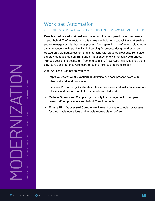# Workload Automation

#### AUTOMATE YOUR OPERATIONAL BUSINESS PROCESS FLOWS--MAINFRAME TO CLOUD

Zena is an advanced workload automation solution for operations environments in your hybrid IT infrastructure. It offers true multi-platform capabilities that enable you to manage complex business process flows spanning mainframe to cloud from a single console with graphical whiteboarding for process design and execution. Hosted on a distributed system and integrating with cloud applications, Zena also expertly manages jobs on IBM i and on IBM zSystems with Sysplex awareness. Manage your entire ecosystem from one solution. (If DevOps initiatives are also in play, consider Enterprise Orchestrator as the next level up from Zena.)

With Workload Automation, you can:

- **• Improve Operational Excellence:** Optimize business process flows with advanced workload automation
- **• Increase Productivity, Scalability:** Define processes and tasks once, execute infinitely, and free up staff to focus on value-added work
- **• Reduce Operational Complexity:** Simplify the management of complex cross-platform processes and hybrid IT environments
- **• Ensure High Successful Completion Rates:** Automate complex processes for predictable operations and reliable repeatable error-free